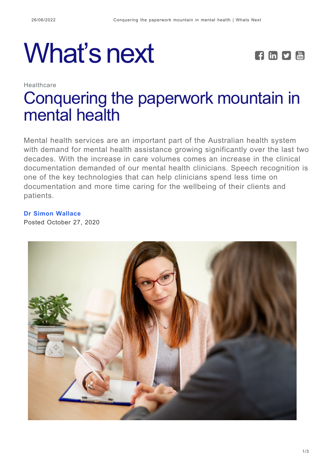## What's next **FEPE**



## Healthcare [Conquering the paperwork mountain in](https://whatsnext.nuance.com/en-au/healthcare/conquering-the-paperwork-mountain-in-mental-health/) [mental health](https://whatsnext.nuance.com/en-au/healthcare/conquering-the-paperwork-mountain-in-mental-health/)

Mental health services are an important part of the Australian health system with demand for mental health assistance growing significantly over the last two decades. With the increase in care volumes comes an increase in the clinical documentation demanded of our mental health clinicians. Speech recognition is one of the key technologies that can help clinicians spend less time on documentation and more time caring for the wellbeing of their clients and patients.

## **[Dr Simon Wallace](https://whatsnext.nuance.com/en-au/author/simonwallace/)**

Posted October 27, 2020

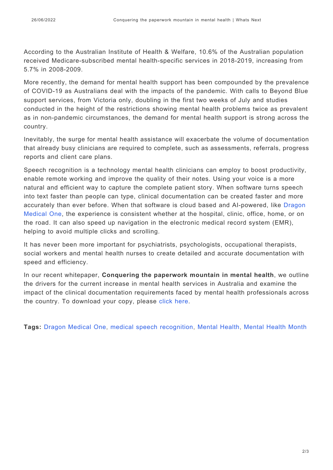According to the Australian Institute of Health & Welfare, 10.6% of the Australian population received Medicare-subscribed mental health-specific services in 2018-2019, increasing from 5.7% in 2008-2009.

More recently, the demand for mental health support has been compounded by the prevalence of COVID-19 as Australians deal with the impacts of the pandemic. With calls to Beyond Blue support services, from Victoria only, doubling in the first two weeks of July and studies conducted in the height of the restrictions showing mental health problems twice as prevalent as in non-pandemic circumstances, the demand for mental health support is strong across the country.

Inevitably, the surge for mental health assistance will exacerbate the volume of documentation that already busy clinicians are required to complete, such as assessments, referrals, progress reports and client care plans.

Speech recognition is a technology mental health clinicians can employ to boost productivity, enable remote working and improve the quality of their notes. Using your voice is a more natural and efficient way to capture the complete patient story. When software turns speech into text faster than people can type, clinical documentation can be created faster and more accurately than ever before. When that software is cloud based and AI-powered, like [Dragon](https://www.nuance.com/en-au/healthcare/provider-solutions/speech-recognition/dragon-medical-one.html) [Medical One,](https://www.nuance.com/en-au/healthcare/provider-solutions/speech-recognition/dragon-medical-one.html) the experience is consistent whether at the hospital, clinic, office, home, or on the road. It can also speed up navigation in the electronic medical record system (EMR), helping to avoid multiple clicks and scrolling.

It has never been more important for psychiatrists, psychologists, occupational therapists, social workers and mental health nurses to create detailed and accurate documentation with speed and efficiency.

In our recent whitepaper, **Conquering the paperwork mountain in mental health**, we outline the drivers for the current increase in mental health services in Australia and examine the impact of the clinical documentation requirements faced by mental health professionals across the country. To download your copy, please [click here.](https://www.nuance.com/en-au/healthcare/campaign/white-paper/paperwork-mental-health.html)

**Tags:** [Dragon Medical One,](https://whatsnext.nuance.com/en-au/tag/dragon-medical-one-3/) [medical speech recognition,](https://whatsnext.nuance.com/en-au/tag/medical-speech-recognition/) [Mental Health,](https://whatsnext.nuance.com/en-au/tag/mental-health/) [Mental Health Month](https://whatsnext.nuance.com/en-au/tag/mental-health-month/)